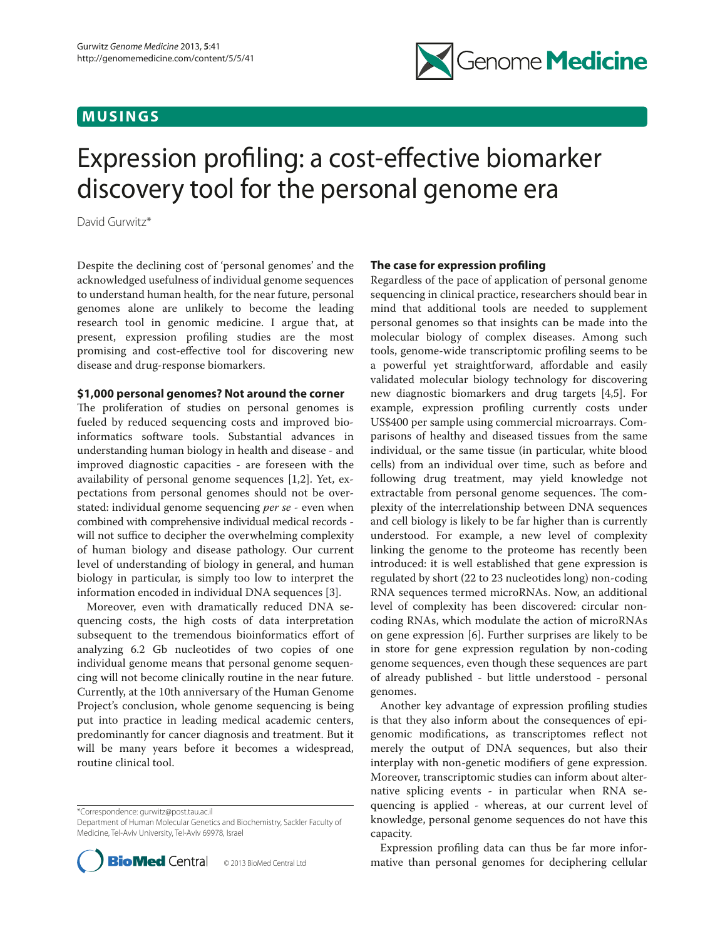# **M U S I N G S**



# Expression profiling: a cost-effective biomarker discovery tool for the personal genome era

David Gurwitz\*

Despite the declining cost of 'personal genomes' and the acknowledged usefulness of individual genome sequences to understand human health, for the near future, personal genomes alone are unlikely to become the leading research tool in genomic medicine. I argue that, at present, expression profiling studies are the most promising and cost-effective tool for discovering new disease and drug-response biomarkers.

## **\$1,000 personal genomes? Not around the corner**

The proliferation of studies on personal genomes is fueled by reduced sequencing costs and improved bioinformatics software tools. Substantial advances in understanding human biology in health and disease - and improved diagnostic capacities - are foreseen with the availability of personal genome sequences [1,2]. Yet, expectations from personal genomes should not be overstated: individual genome sequencing per se - even when combined with comprehensive individual medical records will not suffice to decipher the overwhelming complexity of human biology and disease pathology. Our current level of understanding of biology in general, and human biology in particular, is simply too low to interpret the information encoded in individual DNA sequences [3].

Moreover, even with dramatically reduced DNA sequencing costs, the high costs of data interpretation subsequent to the tremendous bioinformatics effort of analyzing 6.2 Gb nucleotides of two copies of one individual genome means that personal genome sequencing will not become clinically routine in the near future. Currently, at the 10th anniversary of the Human Genome Project's conclusion, whole genome sequencing is being put into practice in leading medical academic centers, predominantly for cancer diagnosis and treatment. But it will be many years before it becomes a widespread, routine clinical tool.

\*Correspondence: gurwitz@post.tau.ac.il

Department of Human Molecular Genetics and Biochemistry, Sackler Faculty of Medicine, Tel-Aviv University, Tel-Aviv 69978, Israel



# **The case for expression profiling**

Regardless of the pace of application of personal genome sequencing in clinical practice, researchers should bear in mind that additional tools are needed to supplement personal genomes so that insights can be made into the molecular biology of complex diseases. Among such tools, genome-wide transcriptomic profiling seems to be a powerful yet straightforward, affordable and easily validated molecular biology technology for discovering new diagnostic biomarkers and drug targets [4,5]. For example, expression profiling currently costs under US\$400 per sample using commercial microarrays. Comparisons of healthy and diseased tissues from the same individual, or the same tissue (in particular, white blood cells) from an individual over time, such as before and following drug treatment, may yield knowledge not extractable from personal genome sequences. The complexity of the interrelationship between DNA sequences and cell biology is likely to be far higher than is currently understood. For example, a new level of complexity linking the genome to the proteome has recently been introduced: it is well established that gene expression is regulated by short (22 to 23 nucleotides long) non-coding RNA sequences termed microRNAs. Now, an additional level of complexity has been discovered: circular noncoding RNAs, which modulate the action of microRNAs on gene expression [6]. Further surprises are likely to be in store for gene expression regulation by non-coding genome sequences, even though these sequences are part of already published - but little understood - personal genomes.

Another key advantage of expression profiling studies is that they also inform about the consequences of epigenomic modifications, as transcriptomes reflect not merely the output of DNA sequences, but also their interplay with non-genetic modifiers of gene expression. Moreover, transcriptomic studies can inform about alternative splicing events - in particular when RNA sequencing is applied - whereas, at our current level of knowledge, personal genome sequences do not have this capacity.

Expression profiling data can thus be far more infor-**BioMed** Central © 2013 BioMed Central Ltd mative than personal genomes for deciphering cellular